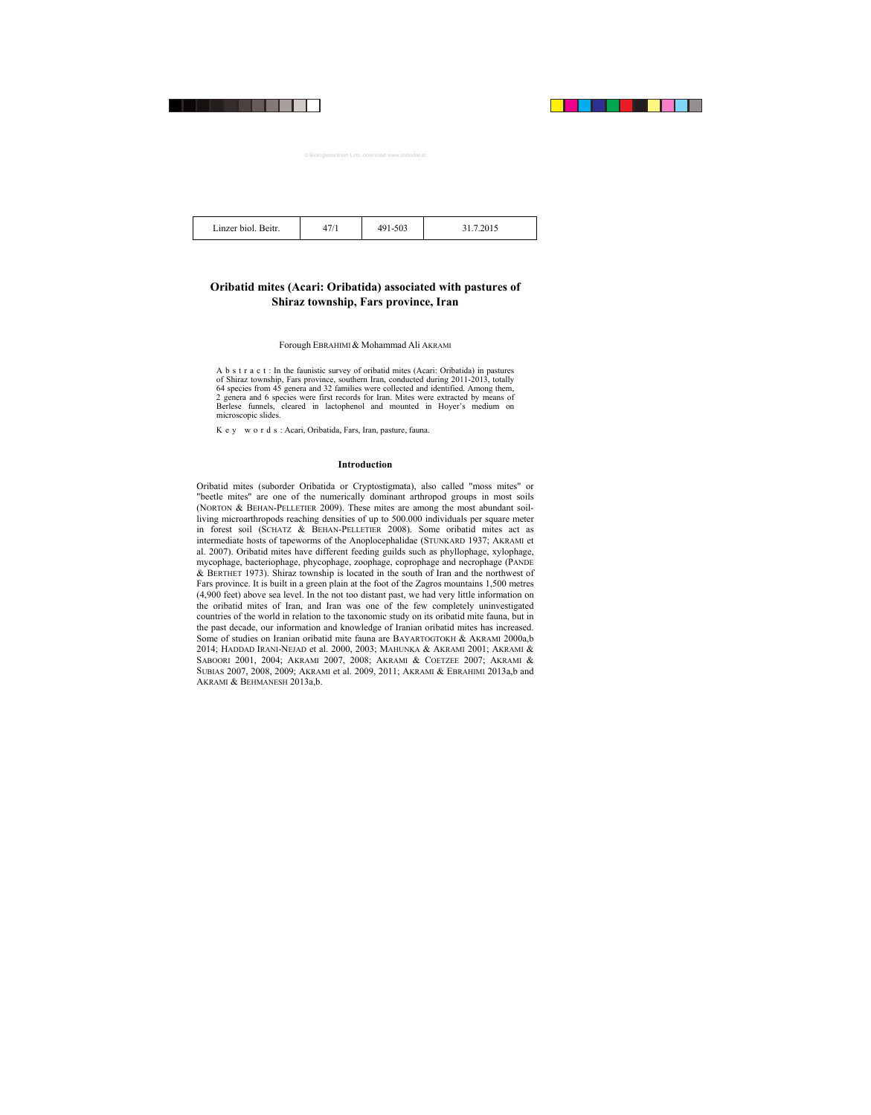| Linzer biol. Beitr. | -503 | 201 <sup>2</sup> |
|---------------------|------|------------------|
|                     |      |                  |

## **Oribatid mites (Acari: Oribatida) associated with pastures of Shiraz township, Fars province, Iran**

## Forough EBRAHIMI& Mohammad Ali AKRAMI

A b s t r a c t : In the faunistic survey of oribatid mites (Acari: Oribatida) in pastures of Shiraz township, Fars province, southern Iran, conducted during 2011-2013, totally 64 species from 45 genera and 32 families were collected and identified. Among them, 2 genera and 6 species were first records for Iran. Mites were extracted by means of Berlese funnels, cleared in lactophenol and mounted in Hoyer's medium on microscopic slides.

K e y w o r d s : Acari, Oribatida, Fars, Iran, pasture, fauna.

## **Introduction**

Oribatid mites (suborder Oribatida or Cryptostigmata), also called "moss mites" or "beetle mites" are one of the numerically dominant arthropod groups in most soils (NORTON & BEHAN-PELLETIER 2009). These mites are among the most abundant soilliving microarthropods reaching densities of up to 500.000 individuals per square meter in forest soil (SCHATZ & BEHAN-PELLETIER 2008). Some oribatid mites act as intermediate hosts of tapeworms of the Anoplocephalidae (STUNKARD 1937; AKRAMI et al. 2007). Oribatid mites have different feeding guilds such as phyllophage, xylophage, mycophage, bacteriophage, phycophage, zoophage, coprophage and necrophage (PANDE & BERTHET 1973). Shiraz township is located in the south of Iran and the northwest of Fars province. It is built in a green plain at the foot of the Zagros mountains 1,500 metres (4,900 feet) above sea level. In the not too distant past, we had very little information on the oribatid mites of Iran, and Iran was one of the few completely uninvestigated countries of the world in relation to the taxonomic study on its oribatid mite fauna, but in the past decade, our information and knowledge of Iranian oribatid mites has increased. Some of studies on Iranian oribatid mite fauna are BAYARTOGTOKH & AKRAMI 2000a,b 2014; HADDAD IRANI-NEJAD et al. 2000, 2003; MAHUNKA & AKRAMI 2001; AKRAMI & SABOORI 2001, 2004; AKRAMI 2007, 2008; AKRAMI & COETZEE 2007; AKRAMI & SUBIAS 2007, 2008, 2009; AKRAMI et al. 2009, 2011; AKRAMI & EBRAHIMI 2013a,b and AKRAMI & BEHMANESH 2013a,b.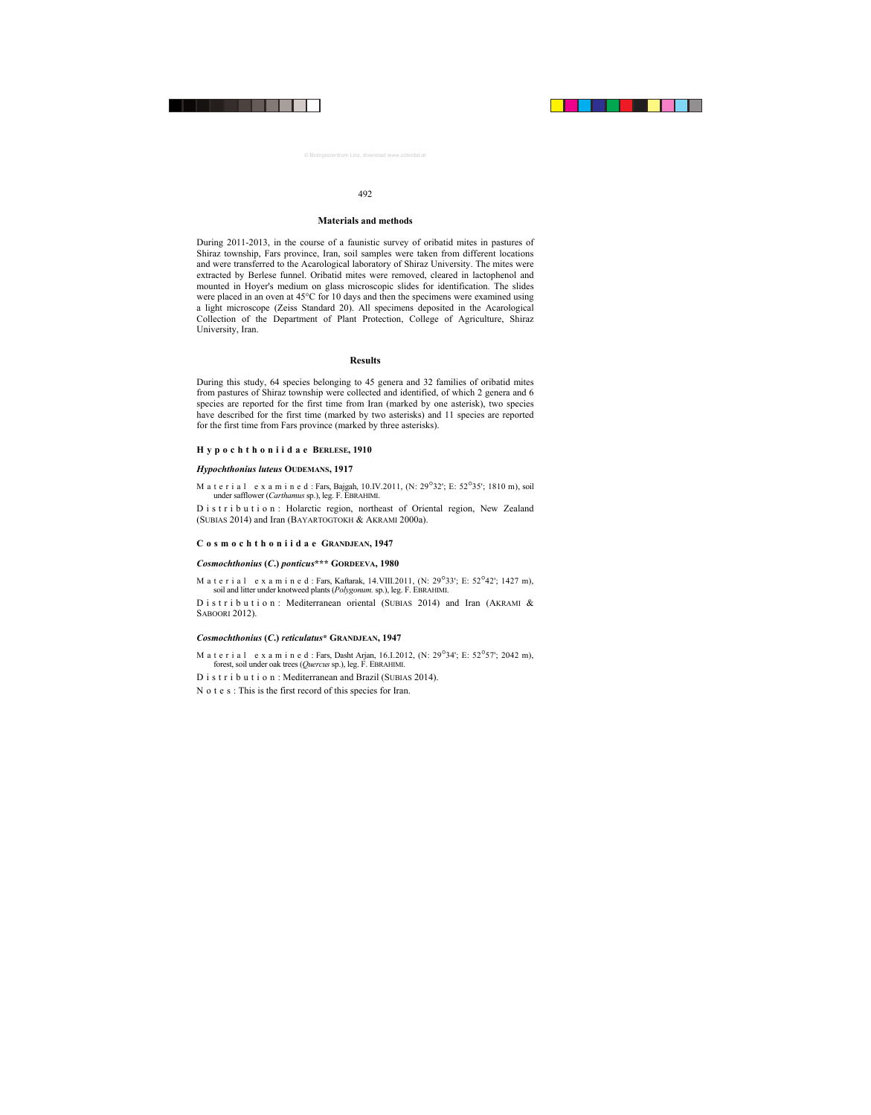## **Materials and methods**

During 2011-2013, in the course of a faunistic survey of oribatid mites in pastures of Shiraz township, Fars province, Iran, soil samples were taken from different locations and were transferred to the Acarological laboratory of Shiraz University. The mites were extracted by Berlese funnel. Oribatid mites were removed, cleared in lactophenol and mounted in Hoyer's medium on glass microscopic slides for identification. The slides were placed in an oven at 45°C for 10 days and then the specimens were examined using a light microscope (Zeiss Standard 20). All specimens deposited in the Acarological Collection of the Department of Plant Protection, College of Agriculture, Shiraz University, Iran.

## **Results**

During this study, 64 species belonging to 45 genera and 32 families of oribatid mites from pastures of Shiraz township were collected and identified, of which 2 genera and 6 species are reported for the first time from Iran (marked by one asterisk), two species have described for the first time (marked by two asterisks) and 11 species are reported for the first time from Fars province (marked by three asterisks).

## **Hypochthoniidae BERLESE, 1910**

#### *Hypochthonius luteus* **OUDEMANS, 1917**

M a t e r i a l e x a m i n e d : Fars, Bajgah, 10.IV.2011, (N: 29°32'; E: 52°35'; 1810 m), soil under safflower (*Carthamus* sp.), leg. F. EBRAHIMI.

D i s t r i b u t i o n : Holarctic region, northeast of Oriental region, New Zealand (SUBIAS 2014) and Iran (BAYARTOGTOKH & AKRAMI 2000a).

#### **Cosmochthoniidae GRANDJEAN, 1947**

## *Cosmochthonius* **(***C***.)** *ponticus***\*\*\* GORDEEVA, 1980**

M a t e r i a l e x a m i n e d : Fars, Kaftarak, 14. VIII. 2011, (N: 29<sup>°</sup>33'; E: 52<sup>°</sup>42'; 1427 m), soil and litter under knotweed plants (*Polygonum.* sp.), leg. F. EBRAHIMI.

D i s t r i b u t i o n : Mediterranean oriental (SUBIAS 2014) and Iran (AKRAMI  $\&$ SABOORI 2012).

## *Cosmochthonius* **(***C***.)** *reticulatus***\* GRANDJEAN, 1947**

M a t e r i a l e x a m i n e d : Fars, Dasht Arian, 16.I.2012, (N:  $29^{\circ}34'$ : E:  $52^{\circ}57'$ : 2042 m), forest, soil under oak trees (*Quercus* sp.), leg. F. EBRAHIMI.

D i s t r i b u t i o n : Mediterranean and Brazil (SUBIAS 2014).

N o t e s : This is the first record of this species for Iran.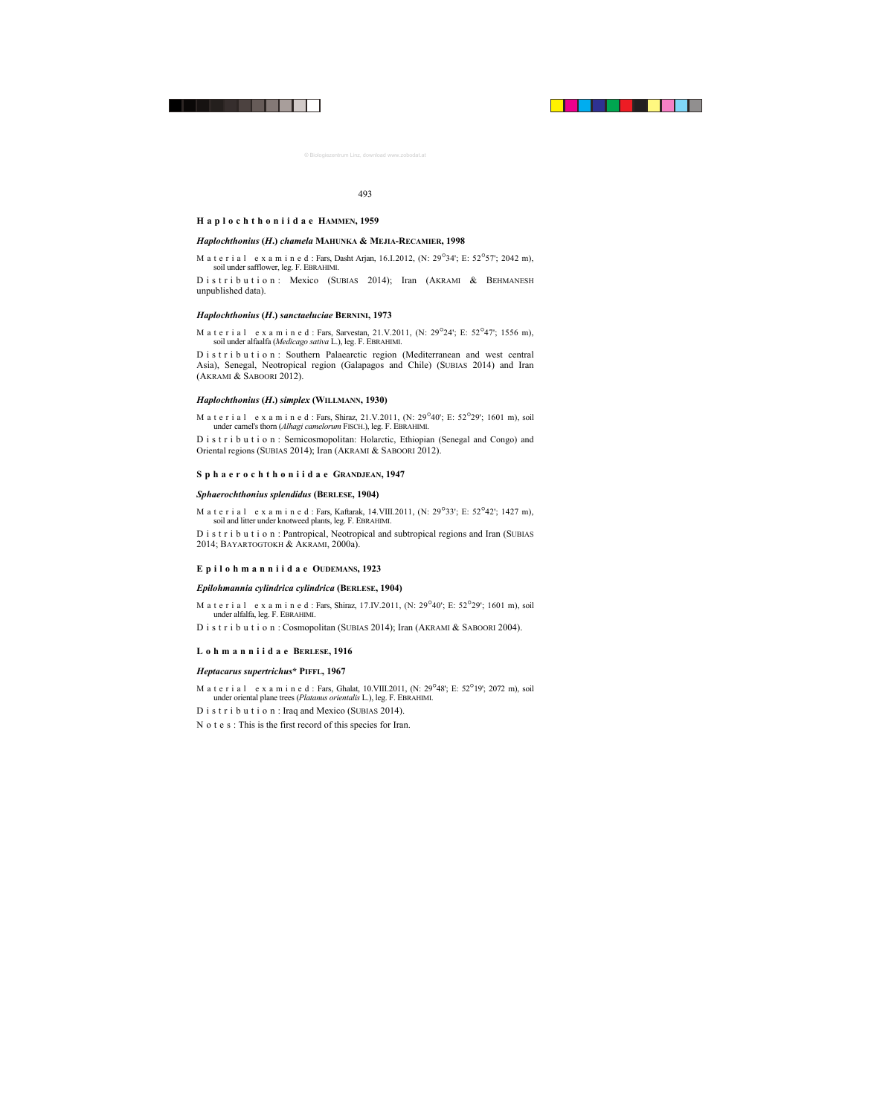#### **Haplochthoniidae HAMMEN, 1959**

## *Haplochthonius* **(***H***.)** *chamela* **MAHUNKA & MEJIA-RECAMIER, 1998**

M a t e r i a l e x a m i n e d : Fars, Dasht Arjan, 16.I.2012, (N:  $29^{\circ}34'$ ; E:  $52^{\circ}57'$ ; 2042 m), soil under safflower, leg. F. EBRAHIMI.

Distribution: Mexico (SUBIAS 2014); Iran (AKRAMI & BEHMANESH unpublished data).

## *Haplochthonius* **(***H***.)** *sanctaeluciae* **BERNINI, 1973**

M a t e r i a l e x a m i n e d : Fars, Sarvestan, 21.V.2011, (N: 29°24'; E: 52°47'; 1556 m), soil under alfaalfa (*Medicago sativa* L.), leg. F. EBRAHIMI.

D i s t r i b u t i o n : Southern Palaearctic region (Mediterranean and west central Asia), Senegal, Neotropical region (Galapagos and Chile) (SUBIAS 2014) and Iran (AKRAMI & SABOORI 2012).

## *Haplochthonius* **(***H***.)** *simplex* **(WILLMANN, 1930)**

M a t e r i a l e x a m i n e d : Fars, Shiraz, 21.V.2011, (N:  $29^{\circ}40'$ ; E:  $52^{\circ}29'$ ; 1601 m), soil under camel's thorn (*Alhagi camelorum* FISCH.), leg. F. EBRAHIMI.

D i s t r i b u t i o n : Semicosmopolitan: Holarctic, Ethiopian (Senegal and Congo) and Oriental regions (SUBIAS 2014); Iran (AKRAMI & SABOORI 2012).

## **Sphaerochthoniidae GRANDJEAN, 1947**

#### *Sphaerochthonius splendidus* **(BERLESE, 1904)**

M a t e r i a l e x a m i n e d : Fars, Kaftarak, 14. VIII. 2011, (N: 29°33'; E: 52°42'; 1427 m), soil and litter under knotweed plants, leg. F. EBRAHIMI.

D i s t r i b u t i o n : Pantropical, Neotropical and subtropical regions and Iran (SUBIAS 2014; BAYARTOGTOKH & AKRAMI, 2000a).

## **Epilohmanniidae OUDEMANS, 1923**

#### *Epilohmannia cylindrica cylindrica* **(BERLESE, 1904)**

M a t e r i a l e x a m i n e d : Fars, Shiraz, 17.IV.2011, (N: 29<sup>°</sup>40′; E: 52<sup>°</sup>29′; 1601 m), soil under alfalfa, leg. F. EBRAHIMI.

D i s t r i b u t i o n : Cosmopolitan (SUBIAS 2014); Iran (AKRAMI & SABOORI 2004).

#### **Lohmanniidae BERLESE, 1916**

#### *Heptacarus supertrichus***\* PIFFL, 1967**

M a t e r i a l e x a m i n e d : Fars, Ghalat, 10.VIII.2011, (N: 29°48'; E: 52°19'; 2072 m), soil under oriental plane trees (*Platanus orientalis* L.), leg. F. EBRAHIMI.

D i s t r i b u t i o n : Iraq and Mexico (SUBIAS 2014).

N o t e s : This is the first record of this species for Iran.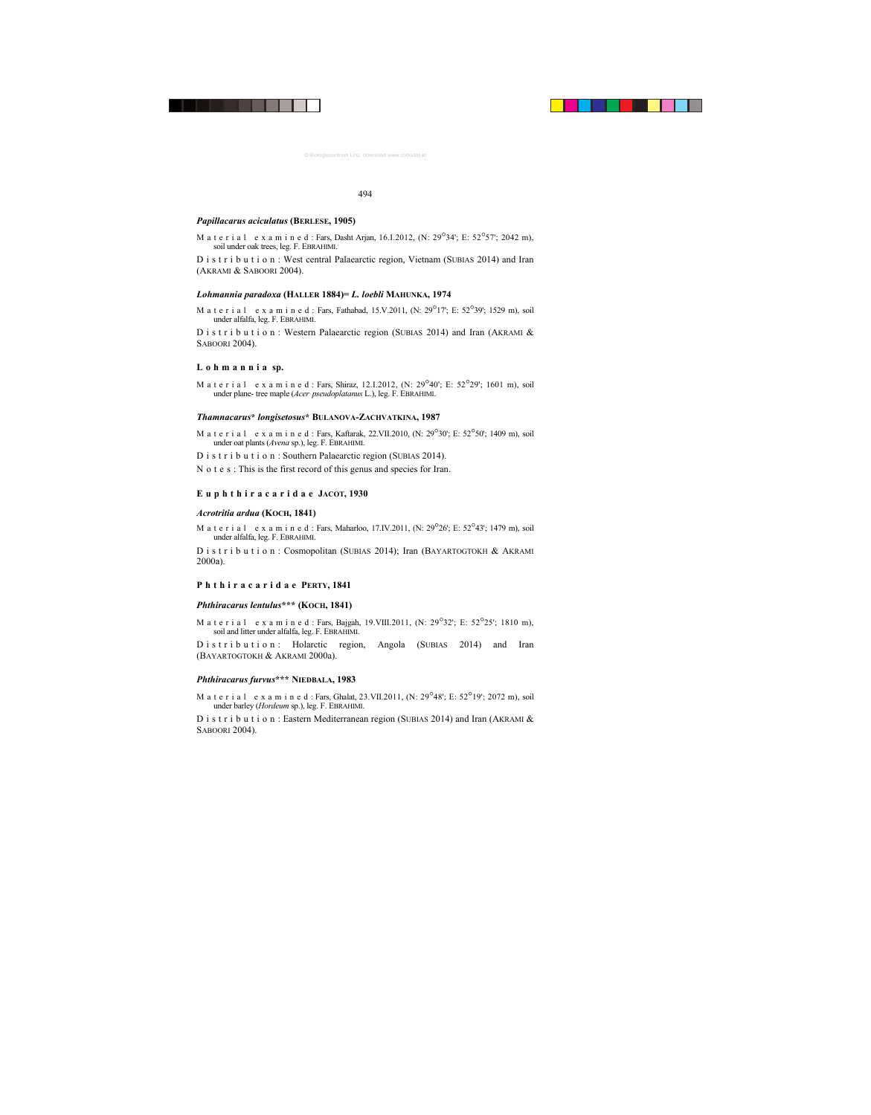#### *Papillacarus aciculatus* **(BERLESE, 1905)**

M a t e r i a l e x a m i n e d : Fars, Dasht Arian,  $16.1.2012$ , (N:  $29^{\circ}34$ '; E:  $52^{\circ}57$ '; 2042 m). soil under oak trees, leg. F. EBRAHIMI.

D i s t r i b u t i o n : West central Palaearctic region, Vietnam (SUBIAS 2014) and Iran (AKRAMI & SABOORI 2004).

## *Lohmannia paradoxa* **(HALLER 1884)=** *L. loebli* **MAHUNKA, 1974**

M a t e r i a l e x a m i n e d : Fars, Fathabad, 15.V.2011, (N:  $29^{\circ}17'$ ; E:  $52^{\circ}39'$ ; 1529 m), soil under alfalfa, leg. F. EBRAHIMI.

D i s t r i b u t i o n : Western Palaearctic region (SUBIAS 2014) and Iran (AKRAMI & SABOORI 2004).

#### **L o h m a n n i a sp.**

M a t e r i a l e x a m i n e d : Fars, Shiraz, 12.I.2012, (N:  $29^{\circ}40'$ ; E:  $52^{\circ}29'$ ; 1601 m), soil under plane- tree maple (*Acer pseudoplatanus* L.), leg. F. EBRAHIMI.

## *Thamnacarus***\*** *longisetosus***\* BULANOVA-ZACHVATKINA, 1987**

M a t e r i a l e x a m i n e d : Fars, Kaftarak, 22.VII.2010, (N: 29°30'; E: 52°50'; 1409 m), soil under oat plants (*Avena* sp.), leg. F. EBRAHIMI.

D i s t r i b u t i o n : Southern Palaearctic region (SUBIAS 2014).

N o t e s : This is the first record of this genus and species for Iran.

#### **Euphthiracaridae JACOT, 1930**

#### *Acrotritia ardua* **(KOCH, 1841)**

M a t e r i a l e x a m i n e d : Fars, Maharloo, 17.IV.2011, (N:  $29^{\circ}26'$ ; E:  $52^{\circ}43'$ ; 1479 m), soil under alfalfa, leg. F. EBRAHIMI.

D i s t r i b u t i o n : Cosmopolitan (SUBIAS 2014); Iran (BAYARTOGTOKH & AKRAMI 2000a).

## **Phthiracaridae PERTY, 1841**

## *Phthiracarus lentulus***\*\*\* (KOCH, 1841)**

M a t e r i a l e x a m i n e d : Fars, Bajgah, 19. VIII. 2011, (N: 29<sup>°</sup>32'; E: 52<sup>°</sup>25'; 1810 m), soil and litter under alfalfa, leg. F. EBRAHIMI.

D is t r i b u t i o n : Holarctic region, Angola (SUBIAS 2014) and Iran (BAYARTOGTOKH & AKRAMI 2000a).

#### *Phthiracarus furvus***\*\*\* NIEDBALA, 1983**

M a t e r i a l e x a m i n e d : Fars, Ghalat, 23.VII.2011, (N: 29<sup>°</sup>48′; E: 52<sup>°</sup>19′; 2072 m), soil under barley (*Hordeum* sp.), leg. F. EBRAHIMI.

D i s t r i b u t i o n : Eastern Mediterranean region (SUBIAS 2014) and Iran (AKRAMI  $\&$ SABOORI 2004).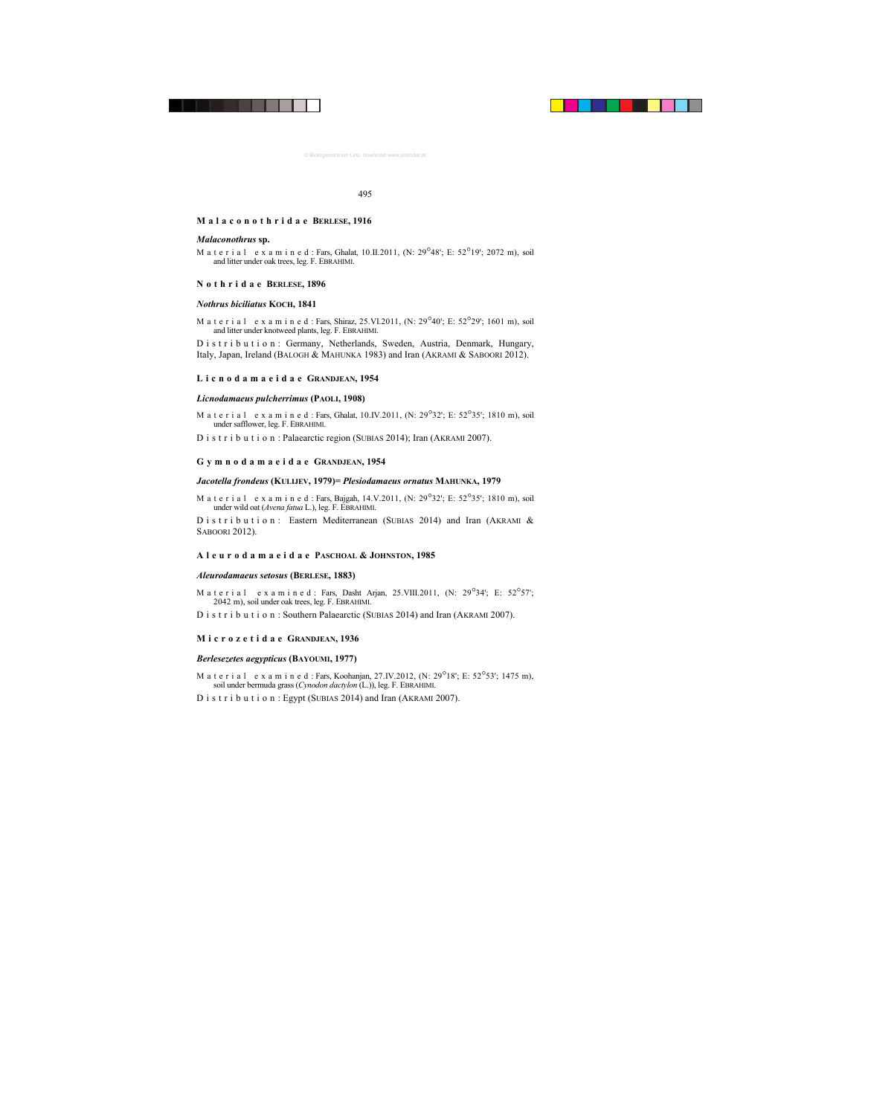#### **Malaconothridae BERLESE, 1916**

#### *Malaconothrus* **sp.**

M a t e r i a l e x a m i n e d : Fars, Ghalat, 10.II.2011, (N:  $29^{\circ}48'$ ; E:  $52^{\circ}19'$ ; 2072 m), soil and litter under oak trees, leg. F. EBRAHIMI.

## **Nothridae BERLESE, 1896**

## *Nothrus biciliatus* **KOCH, 1841**

M a t e r i a l e x a m i n e d : Fars, Shiraz, 25. VI. 2011, (N:  $29^{\circ}40'$ ; E:  $52^{\circ}29'$ ; 1601 m), soil and litter under knotweed plants, leg. F. EBRAHIMI.

D i s t r i b u t i o n : Germany, Netherlands, Sweden, Austria, Denmark, Hungary, Italy, Japan, Ireland (BALOGH & MAHUNKA 1983) and Iran (AKRAMI & SABOORI 2012).

## **Licnodamaeidae GRANDJEAN, 1954**

## *Licnodamaeus pulcherrimus* **(PAOLI, 1908)**

M a t e r i a l e x a m i n e d : Fars, Ghalat, 10.IV.2011, (N: 29°32'; E: 52°35'; 1810 m), soil under safflower, leg. F. EBRAHIMI.

D i s t r i b u t i o n : Palaearctic region (SUBIAS 2014); Iran (AKRAMI 2007).

## **Gymnodamaeidae GRANDJEAN, 1954**

## *Jacotella frondeus* **(KULIJEV, 1979)=** *Plesiodamaeus ornatus* **MAHUNKA, 1979**

M a t e r i a l e x a m i n e d : Fars, Bajgah, 14.V.2011, (N: 29°32'; E: 52°35'; 1810 m), soil under wild oat (*Avena fatua* L.), leg. F. EBRAHIMI.

D is t r i b u t i o n : Eastern Mediterranean (SUBIAS 2014) and Iran (AKRAMI  $\&$ SABOORI 2012).

## **Aleurodamaeidae PASCHOAL & JOHNSTON, 1985**

#### *Aleurodamaeus setosus* **(BERLESE, 1883)**

M a t e r i a l e x a m i n e d : Fars, Dasht Arjan, 25. VIII. 2011, (N: 29°34'; E: 52°57': 2042 m), soil under oak trees, leg. F. EBRAHIMI.

D i s t r i b u t i o n : Southern Palaearctic (SUBIAS 2014) and Iran (AKRAMI 2007).

## **Microzetidae GRANDJEAN, 1936**

## *Berlesezetes aegypticus* **(BAYOUMI, 1977)**

M a t e r i a l e x a m i n e d : Fars, Koohanjan, 27.IV.2012, (N:  $29^{\circ}18'$ : E:  $52^{\circ}53'$ : 1475 m). soil under bermuda grass (*Cynodon dactylon* (L.)), leg. F. EBRAHIMI.

D i s t r i b u t i o n : Egypt (SUBIAS 2014) and Iran (AKRAMI 2007).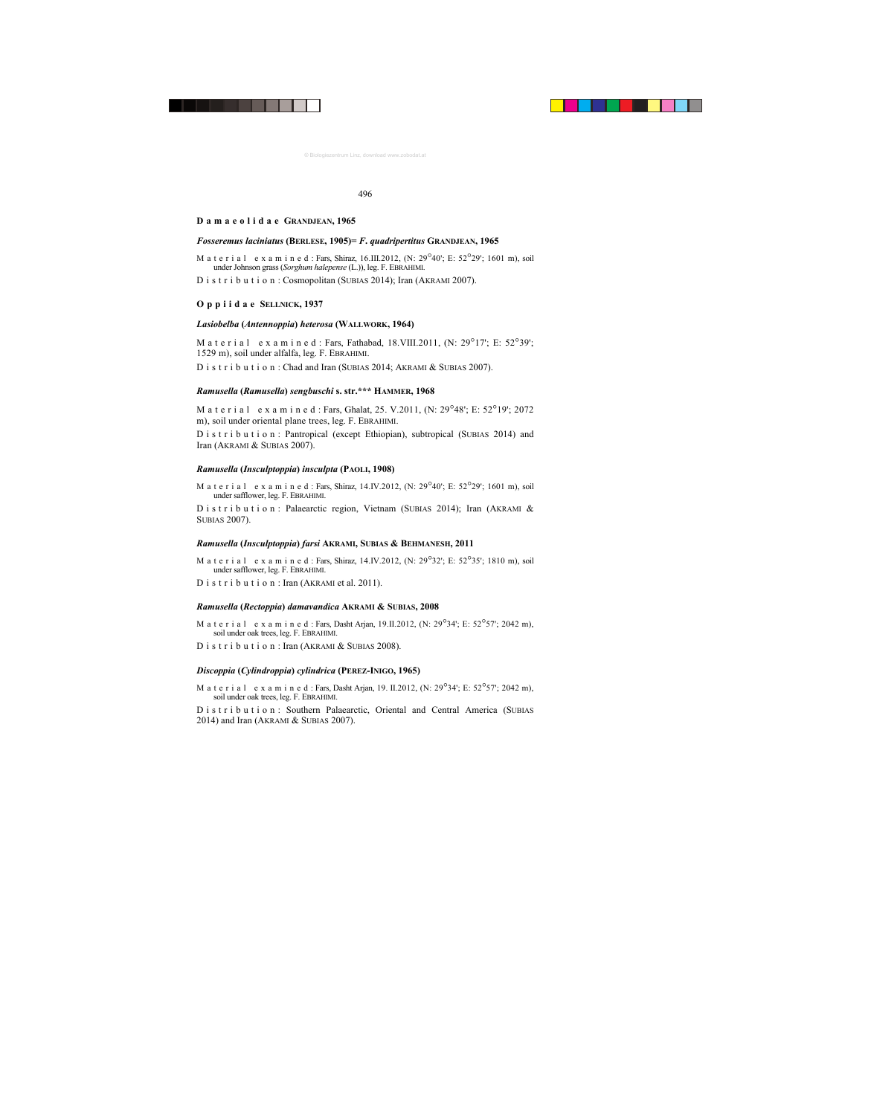#### **Damaeolidae GRANDJEAN, 1965**

#### *Fosseremus laciniatus* **(BERLESE, 1905)=** *F***.** *quadripertitus* **GRANDJEAN, 1965**

M a t e r i a l e x a m i n e d : Fars, Shiraz, 16.III.2012, (N: 29°40'; E: 52°29'; 1601 m), soil under Johnson grass (*Sorghum halepense* (L.)), leg. F. EBRAHIMI.

D i s t r i b u t i o n : Cosmopolitan (SUBIAS 2014); Iran (AKRAMI 2007).

## **Oppiidae SELLNICK, 1937**

## *Lasiobelba* **(***Antennoppia***)** *heterosa* **(WALLWORK, 1964)**

M a t e r i a l e x a m i n e d : Fars, Fathabad, 18.VIII.2011, (N: 29°17'; E: 52°39'; 1529 m), soil under alfalfa, leg. F. EBRAHIMI.

D i s t r i b u t i o n : Chad and Iran (SUBIAS 2014; AKRAMI & SUBIAS 2007).

## *Ramusella* **(***Ramusella***)** *sengbuschi* **s. str.\*\*\* HAMMER, 1968**

M a t e r i a l e x a m i n e d : Fars, Ghalat, 25. V.2011, (N: 29°48'; E: 52°19'; 2072 m), soil under oriental plane trees, leg. F. EBRAHIMI.

D i s t r i b u t i o n : Pantropical (except Ethiopian), subtropical (SUBIAS 2014) and Iran (AKRAMI & SUBIAS 2007).

## *Ramusella* **(***Insculptoppia***)** *insculpta* **(PAOLI, 1908)**

M a t e r i a l e x a m i n e d : Fars, Shiraz, 14.IV.2012, (N: 29<sup>°</sup>40'; E: 52<sup>°</sup>29'; 1601 m), soil under safflower, leg. F. EBRAHIMI.

D i s t r i b u t i o n : Palaearctic region, Vietnam (SUBIAS 2014); Iran (AKRAMI & SUBIAS 2007).

#### *Ramusella* **(***Insculptoppia***)** *farsi* **AKRAMI, SUBIAS & BEHMANESH, 2011**

- M a t e r i a l e x a m i n e d : Fars, Shiraz, 14.IV.2012, (N: 29°32'; E: 52°35'; 1810 m), soil under safflower, leg. F. EBRAHIMI.
- D i s t r i b u t i o n : Iran (AKRAMI et al. 2011).

#### *Ramusella* **(***Rectoppia***)** *damavandica* **AKRAMI & SUBIAS, 2008**

- M a t e r i a l e x a m i n e d : Fars, Dasht Arjan, 19.II.2012, (N: 29°34'; E: 52°57'; 2042 m), soil under oak trees, leg. F. EBRAHIMI.
- D i s t r i b u t i o n : Iran (AKRAMI & SUBIAS 2008).

#### *Discoppia* **(***Cylindroppia***)** *cylindrica* **(PEREZ-INIGO, 1965)**

M a t e r i a l e x a m i n e d : Fars, Dasht Arjan, 19. II.2012, (N:  $29^{\circ}34'$ ; E:  $52^{\circ}57'$ ; 2042 m), soil under oak trees, leg. F. EBRAHIMI.

D i s t r i b u t i o n : Southern Palaearctic, Oriental and Central America (SUBIAS 2014) and Iran (AKRAMI & SUBIAS 2007).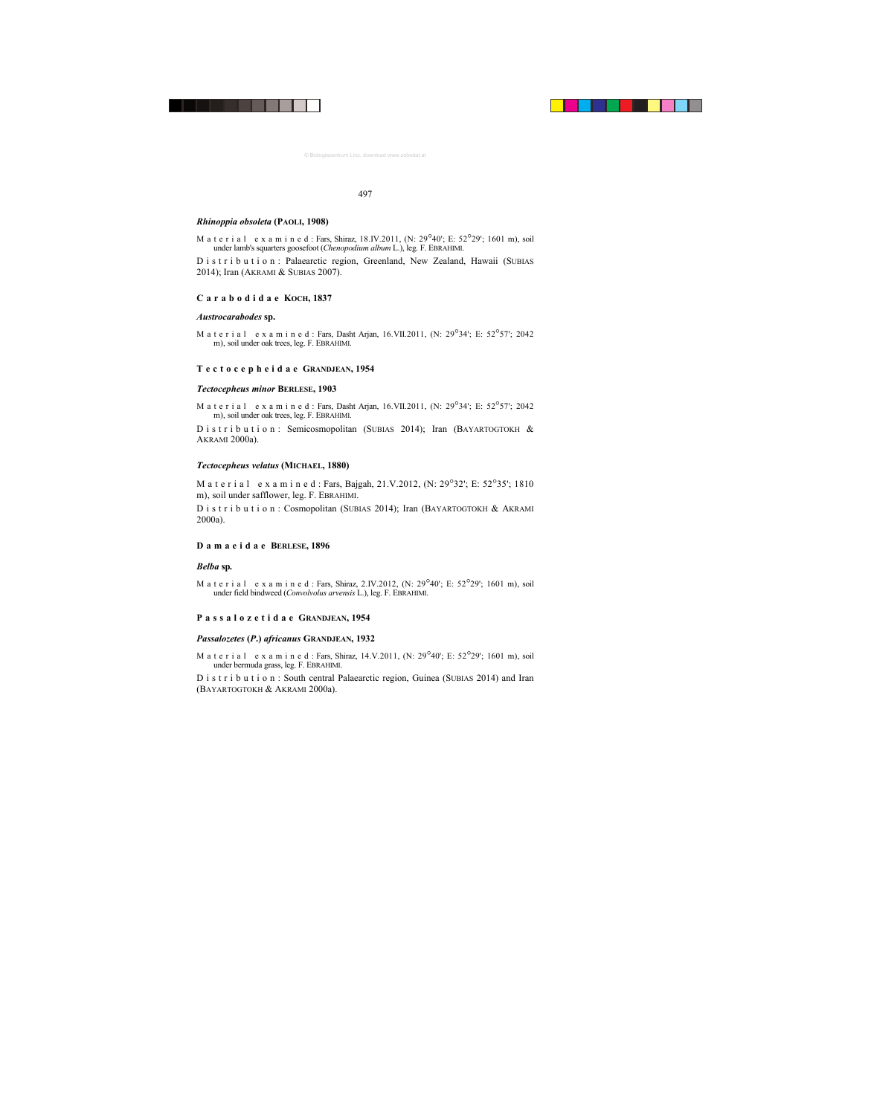#### *Rhinoppia obsoleta* **(PAOLI, 1908)**

M a t e r i a l e x a m i n e d : Fars, Shiraz,  $18.1V.2011$ ,  $(N: 29^{\circ}40'$ ; E:  $52^{\circ}29'$ ;  $1601$  m), soil under lamb's squarters goosefoot (*Chenopodium album* L.), leg. F. EBRAHIMI.

D i s t r i b u t i o n : Palaearctic region, Greenland, New Zealand, Hawaii (SUBIAS 2014); Iran (AKRAMI & SUBIAS 2007).

#### **Carabodidae KOCH, 1837**

#### *Austrocarabodes* **sp.**

M a t e r i a l e x a m i n e d : Fars, Dasht Arjan, 16.VII.2011, (N: 29°34'; E: 52°57'; 2042 m), soil under oak trees, leg. F. EBRAHIMI.

## **Tectocepheidae GRANDJEAN, 1954**

#### *Tectocepheus minor* **BERLESE, 1903**

M a t e r i a l e x a m i n e d : Fars, Dasht Arjan, 16.VII.2011, (N: 29°34'; E: 52°57'; 2042 m), soil under oak trees, leg. F. EBRAHIMI.

D i s t r i b u t i o n : Semicosmopolitan (SUBIAS 2014); Iran (BAYARTOGTOKH & AKRAMI 2000a).

## *Tectocepheus velatus* **(MICHAEL, 1880)**

M a t e r i a l e x a m i n e d : Fars, Bajgah, 21.V.2012, (N: 29°32'; E: 52°35'; 1810 m), soil under safflower, leg. F. EBRAHIMI.

D i s t r i b u t i o n : Cosmopolitan (SUBIAS 2014); Iran (BAYARTOGTOKH & AKRAMI 2000a).

#### **Damaeidae BERLESE, 1896**

#### *Belba* **sp***.*

M a t e r i a l e x a m i n e d : Fars, Shiraz, 2.IV.2012, (N:  $29^{\circ}40'$ ; E:  $52^{\circ}29'$ ; 1601 m), soil under field bindweed (*Convolvolus arvensis* L.), leg. F. EBRAHIMI.

#### **Passalozetidae GRANDJEAN, 1954**

## *Passalozetes* **(***P***.)** *africanus* **GRANDJEAN, 1932**

M a t e r i a l e x a m i n e d : Fars, Shiraz, 14.V.2011, (N:  $29^{\circ}40'$ ; E:  $52^{\circ}29'$ ; 1601 m), soil under bermuda grass, leg. F. EBRAHIMI.

D i s t r i b u t i o n : South central Palaearctic region, Guinea (SUBIAS 2014) and Iran (BAYARTOGTOKH & AKRAMI 2000a).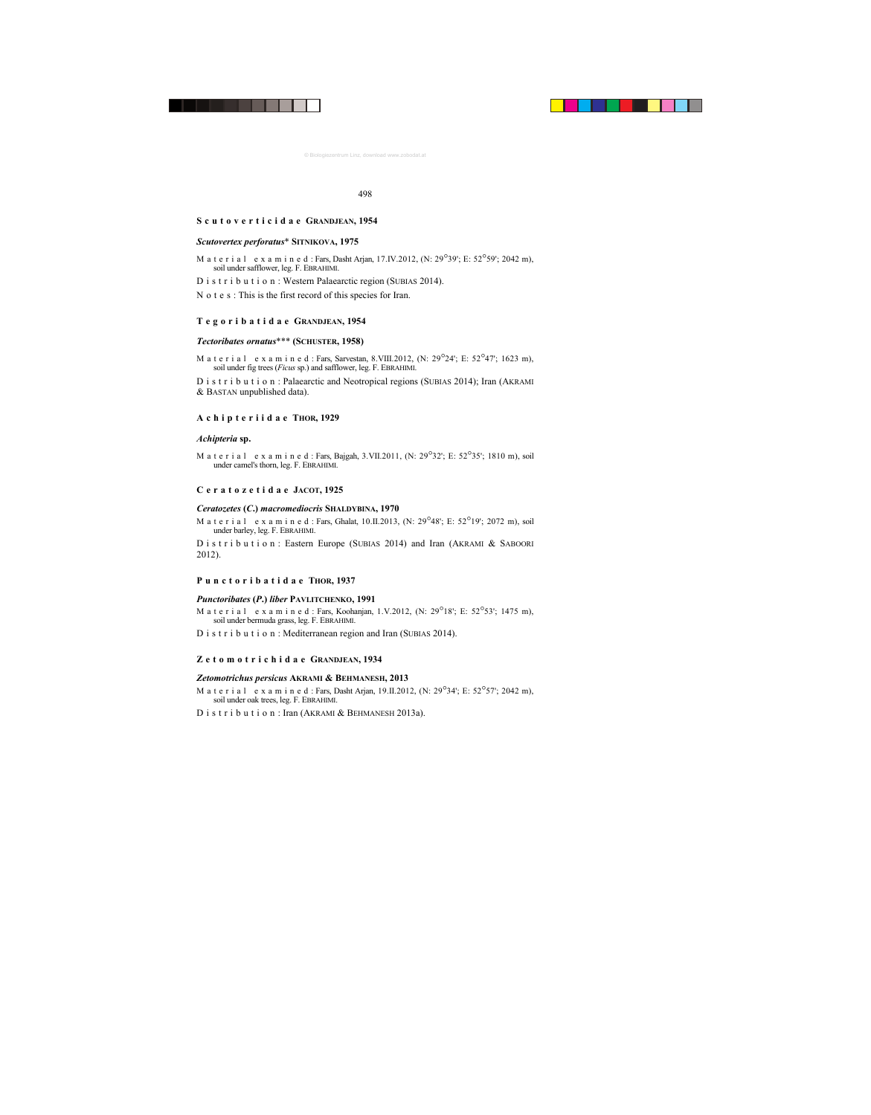## **Scutoverticidae GRANDJEAN, 1954**

#### *Scutovertex perforatus*\* **SITNIKOVA, 1975**

- M a t e r i a l e x a m i n e d : Fars, Dasht Arjan, 17.IV.2012, (N:  $29^{\circ}39$ '; E:  $52^{\circ}59'$ ; 2042 m), soil under safflower, leg. F. EBRAHIMI.
- D i s t r i b u t i o n : Western Palaearctic region (SUBIAS 2014).
- N o t e s : This is the first record of this species for Iran.

## **Tegoribatidae GRANDJEAN, 1954**

## *Tectoribates ornatus*\*\*\* **(SCHUSTER, 1958)**

M a t e r i a l e x a m i n e d : Fars, Sarvestan, 8.VIII.2012, (N:  $29^{\circ}24'$ : E:  $52^{\circ}47'$ : 1623 m). soil under fig trees (*Ficus* sp.) and safflower, leg. F. EBRAHIMI.

D i s t r i b u t i o n : Palaearctic and Neotropical regions (SUBIAS 2014); Iran (AKRAMI & BASTAN unpublished data).

## **Achipteriidae THOR, 1929**

#### *Achipteria* **sp.**

M a t e r i a l e x a m i n e d : Fars, Bajgah, 3.VII.2011, (N:  $29^{\circ}32$ !; E:  $52^{\circ}35$ !; 1810 m), soil under camel's thorn, leg. F. EBRAHIMI.

## **Ceratozetidae JACOT, 1925**

## *Ceratozetes* **(***C***.)** *macromediocris* **SHALDYBINA, 1970**

M a t e r i a l e x a m i n e d : Fars, Ghalat, 10.II.2013, (N: 29<sup>°48'</sup>; E: 52<sup>°19'</sup>; 2072 m), soil under barley, leg. F. EBRAHIMI.

D is t r i b u t i o n : Eastern Europe (SUBIAS 2014) and Iran (AKRAMI & SABOORI 2012).

## **Punctoribatidae THOR, 1937**

#### *Punctoribates* **(***P***.)** *liber* **PAVLITCHENKO, 1991**

M a t e r i a l e x a m i n e d : Fars, Koohanjan, 1.V.2012, (N: 29<sup>°</sup>18'; E: 52<sup>°</sup>53'; 1475 m), soil under bermuda grass, leg. F. EBRAHIMI.

D i s t r i b u t i o n : Mediterranean region and Iran (SUBIAS 2014).

## **Zetomotrichidae GRANDJEAN, 1934**

#### *Zetomotrichus persicus* **AKRAMI & BEHMANESH, 2013**

M a t e r i a l e x a m i n e d : Fars, Dasht Arjan, 19.II.2012, (N:  $29^{\circ}34'$ : E:  $52^{\circ}57'$ : 2042 m), soil under oak trees, leg. F. EBRAHIMI.

D i s t r i b u t i o n : Iran (AKRAMI & BEHMANESH 2013a).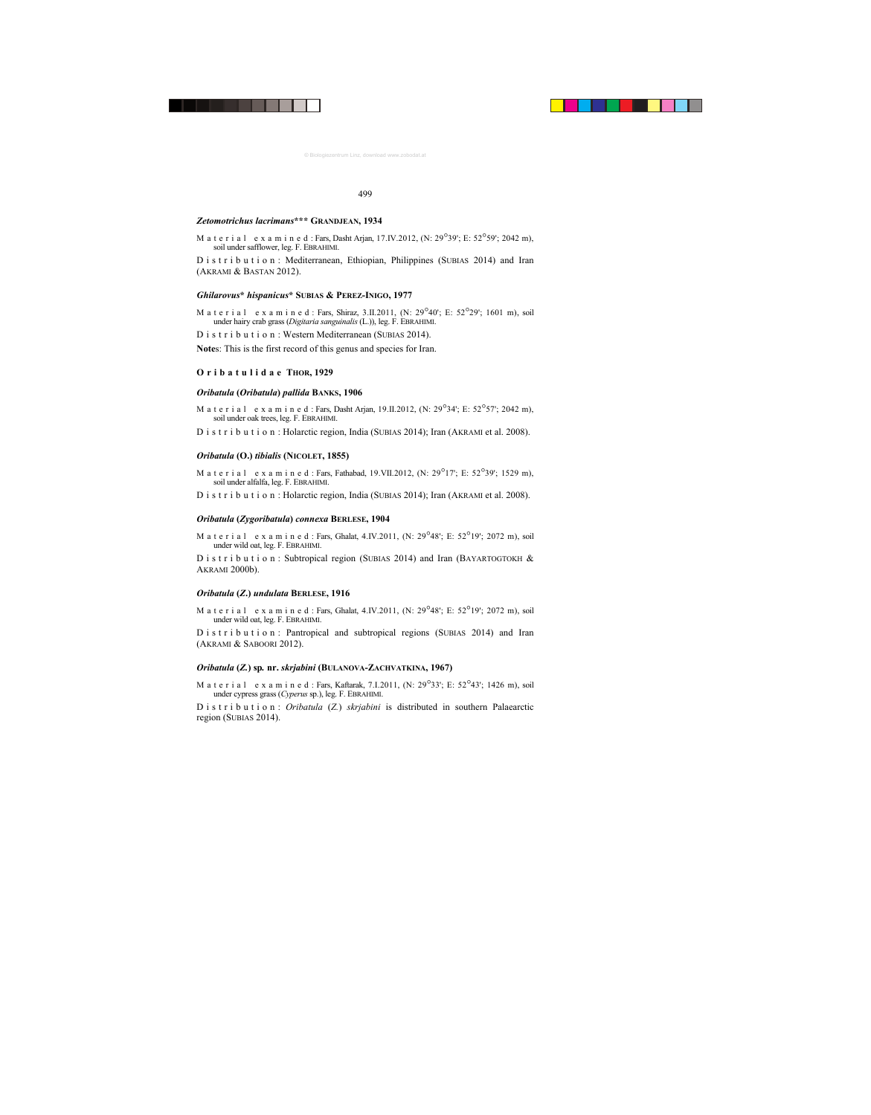## *Zetomotrichus lacrimans***\*\*\* GRANDJEAN, 1934**

M a t e r i a l e x a m i n e d : Fars, Dasht Arjan, 17.IV.2012, (N:  $29^{\circ}39'$ ; E:  $52^{\circ}59'$ ; 2042 m), soil under safflower, leg. F. EBRAHIMI.

D i s t r i b u t i o n : Mediterranean, Ethiopian, Philippines (SUBIAS 2014) and Iran (AKRAMI & BASTAN 2012).

## *Ghilarovus***\*** *hispanicus***\* SUBIAS & PEREZ-INIGO, 1977**

M a t e r i a l e x a m i n e d : Fars, Shiraz, 3.II.2011, (N:  $29^{\circ}40'$ : E:  $52^{\circ}29'$ : 1601 m), soil under hairy crab grass (*Digitaria sanguinalis* (L.)), leg. F. EBRAHIMI.

D i s t r i b u t i o n : Western Mediterranean (SUBIAS 2014).

**Note**s: This is the first record of this genus and species for Iran.

## **Oribatulidae THOR, 1929**

## *Oribatula* **(***Oribatula***)** *pallida* **BANKS, 1906**

M a t e r i a l e x a m i n e d : Fars, Dasht Arjan, 19.II.2012, (N: 29°34'; E: 52°57'; 2042 m), soil under oak trees, leg. F. EBRAHIMI.

D i s t r i b u t i o n : Holarctic region, India (SUBIAS 2014); Iran (AKRAMI et al. 2008).

## *Oribatula* **(O.)** *tibialis* **(NICOLET, 1855)**

M a t e r i a l e x a m i n e d : Fars, Fathabad, 19. VII. 2012, (N:  $29^{\circ}17'$ ; E:  $52^{\circ}39'$ ; 1529 m), soil under alfalfa, leg. F. EBRAHIMI.

D i s t r i b u t i o n : Holarctic region, India (SUBIAS 2014); Iran (AKRAMI et al. 2008).

## *Oribatula* **(***Zygoribatula***)** *connexa* **BERLESE, 1904**

M a t e r i a l e x a m i n e d : Fars, Ghalat, 4.IV.2011, (N:  $29^{\circ}48'$ ; E:  $52^{\circ}19'$ ; 2072 m), soil under wild oat, leg. F. EBRAHIMI.

D i s t r i b u t i o n : Subtropical region (SUBIAS 2014) and Iran (BAYARTOGTOKH  $\&$ AKRAMI 2000b).

## *Oribatula* **(***Z***.)** *undulata* **BERLESE, 1916**

M a t e r i a l e x a m i n e d : Fars, Ghalat, 4.IV.2011, (N:  $29^{\circ}48'$ ; E:  $52^{\circ}19'$ ; 2072 m), soil under wild oat, leg. F. EBRAHIMI.

D i s t r i b u t i o n : Pantropical and subtropical regions (SUBIAS 2014) and Iran (AKRAMI & SABOORI 2012).

## *Oribatula* **(***Z.***) sp***.* **nr.** *skrjabini* **(BULANOVA-ZACHVATKINA, 1967)**

M a t e r i a l e x a m i n e d : Fars, Kaftarak, 7.I.2011, (N: 29°33'; E: 52°43'; 1426 m), soil under cypress grass (*Cyperus* sp.), leg. F. EBRAHIMI.

D i s t r i b u t i o n : *Oribatula* (*Z.*) *skrjabini* is distributed in southern Palaearctic region (SUBIAS 2014).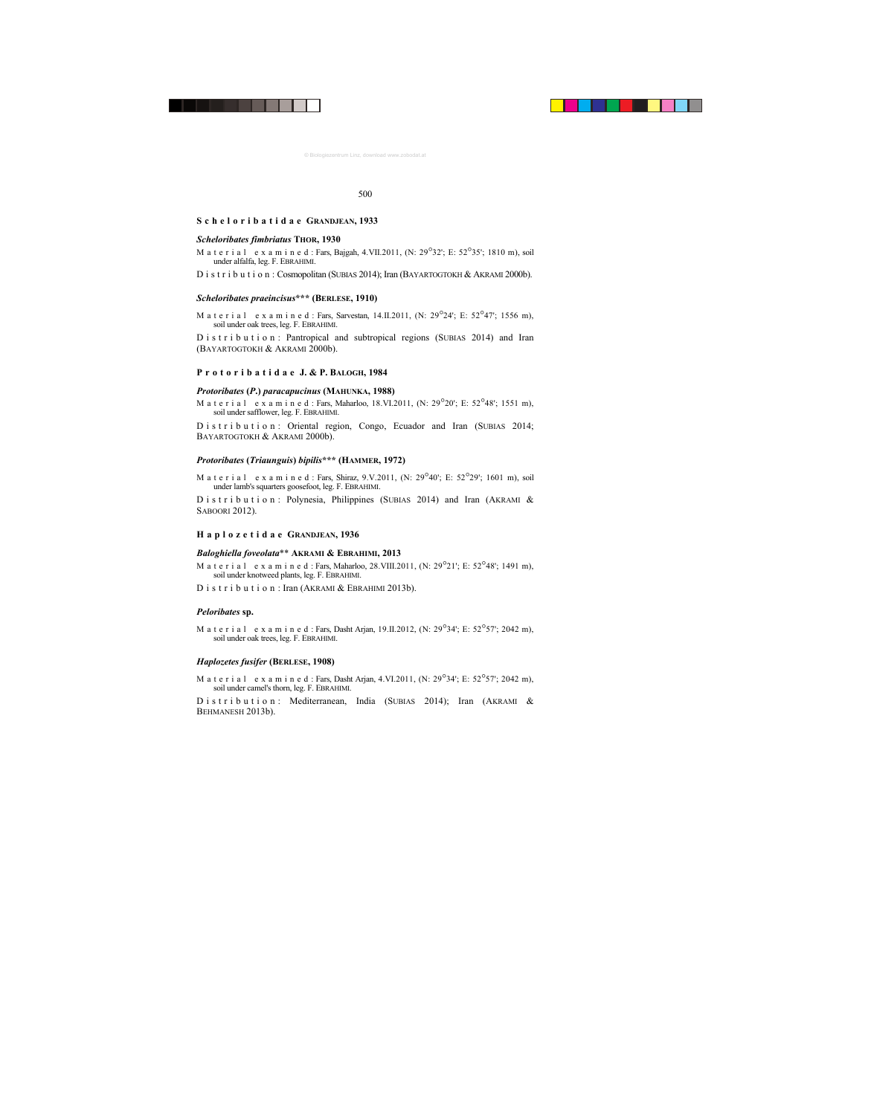## **Scheloribatidae GRANDJEAN, 1933**

#### *Scheloribates fimbriatus* **THOR, 1930**

M a t e r i a l e x a m i n e d : Fars, Bajgah, 4.VII.2011, (N:  $29^{\circ}32'$ ; E:  $52^{\circ}35'$ ; 1810 m), soil under alfalfa, leg. F. EBRAHIMI.

D i s t r i b u t i o n : Cosmopolitan (SUBIAS 2014); Iran (BAYARTOGTOKH & AKRAMI 2000b).

#### *Scheloribates praeincisus***\*\*\* (BERLESE, 1910)**

M a t e r i a l e x a m i n e d : Fars, Sarvestan,  $14$ , II.2011, (N: 29<sup>°</sup>24′; E: 52<sup>°</sup>47′; 1556 m), soil under oak trees, leg. F. EBRAHIMI.

D i s t r i b u t i o n : Pantropical and subtropical regions (SUBIAS 2014) and Iran (BAYARTOGTOKH & AKRAMI 2000b).

## **P r o t o r i b a t i d a e J. & P. BALOGH, 1984**

## *Protoribates* **(***P***.)** *paracapucinus* **(MAHUNKA, 1988)**

M a t e r i a l e x a m i n e d : Fars, Maharloo, 18, VI.2011, (N; 29 $^{\circ}$ 20'; E: 52 $^{\circ}$ 48'; 1551 m), soil under safflower, leg. F. EBRAHIMI.

D istribution: Oriental region, Congo, Ecuador and Iran (SUBIAS 2014; BAYARTOGTOKH & AKRAMI 2000b).

## *Protoribates* **(***Triaunguis***)** *bipilis***\*\*\* (HAMMER, 1972)**

M a t e r i a l e x a m i n e d : Fars, Shiraz, 9.V.2011, (N:  $29^{\circ}40'$ ; E:  $52^{\circ}29'$ ; 1601 m), soil under lamb's squarters goosefoot, leg. F. EBRAHIMI.

D i s t r i b u t i o n : Polynesia, Philippines (SUBIAS 2014) and Iran (AKRAMI  $\&$ SABOORI 2012).

## **Haplozetidae GRANDJEAN, 1936**

## *Baloghiella foveolata*\*\* **AKRAMI & EBRAHIMI, 2013**

- M a t e r i a l e x a m i n e d : Fars, Maharloo, 28. VIII. 2011, (N:  $29^{\circ}21'$ : E:  $52^{\circ}48'$ : 1491 m), soil under knotweed plants, leg. F. EBRAHIMI.
- D i s t r i b u t i o n : Iran (AKRAMI & EBRAHIMI 2013b).

## *Peloribates* **sp.**

M a t e r i a l e x a m i n e d : Fars, Dasht Arjan, 19.II.2012, (N: 29°34'; E: 52°57'; 2042 m), soil under oak trees, leg. F. EBRAHIMI.

## *Haplozetes fusifer* **(BERLESE, 1908)**

M a t e r i a l e x a m i n e d : Fars, Dasht Arjan, 4.VI.2011, (N:  $29^{\circ}34'$ : E:  $52^{\circ}57'$ : 2042 m), soil under camel's thorn, leg. F. EBRAHIMI.

D i s t r i b u t i o n : Mediterranean, India (SUBIAS 2014); Iran (AKRAMI & BEHMANESH 2013b).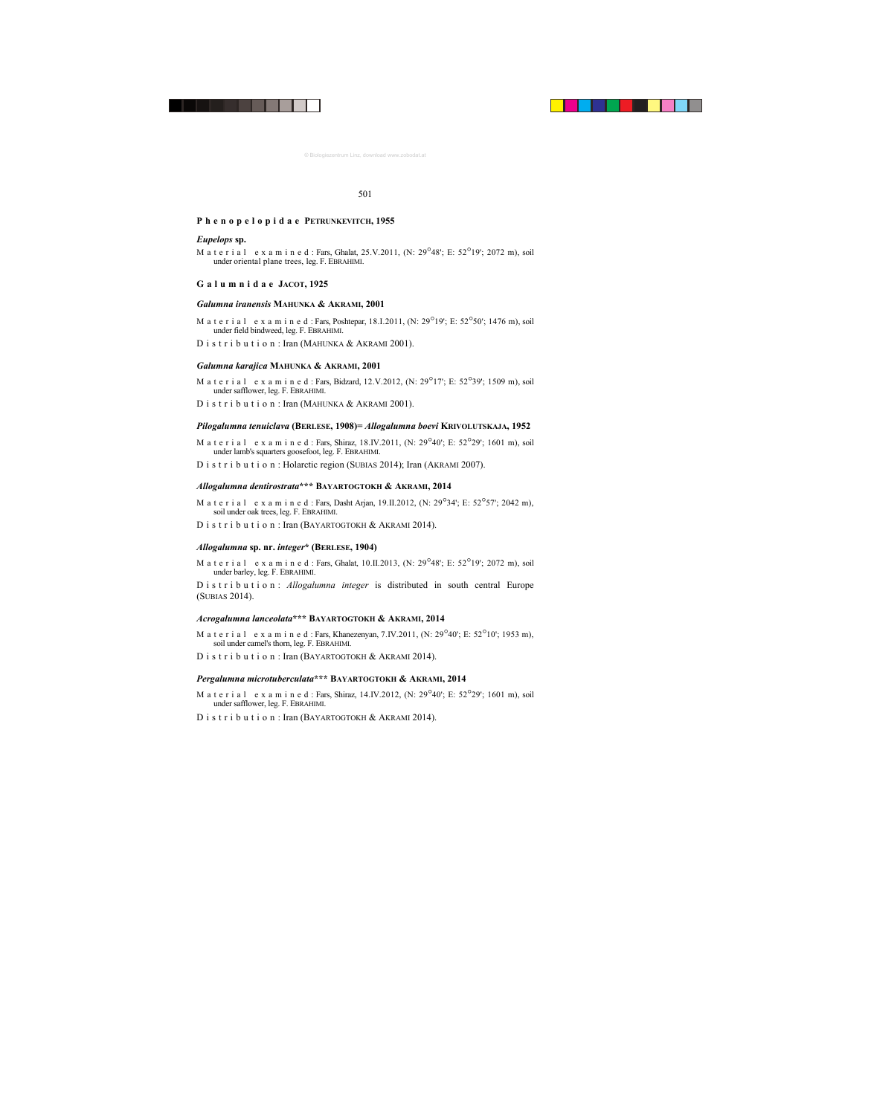## **Phenopelopidae PETRUNKEVITCH, 1955**

## *Eupelops* **sp.**

M a t e r i a l e x a m i n e d : Fars, Ghalat, 25.V.2011, (N:  $29^{\circ}48'$ ; E:  $52^{\circ}19'$ ; 2072 m), soil under oriental plane trees, leg. F. EBRAHIMI.

## **Galumnidae JACOT, 1925**

## *Galumna iranensis* **MAHUNKA & AKRAMI, 2001**

- M a t e r i a l e x a m i n e d : Fars, Poshtepar, 18.I.2011, (N: 29<sup>°</sup>19'; E: 52<sup>°</sup>50'; 1476 m), soil under field bindweed, leg. F. EBRAHIMI.
- D i s t r i b u t i o n : Iran (MAHUNKA & AKRAMI 2001).

#### *Galumna karajica* **MAHUNKA & AKRAMI, 2001**

- M a t e r i a l e x a m i n e d : Fars, Bidzard, 12.V.2012, (N: 29<sup>°</sup>17'; E: 52<sup>°</sup>39'; 1509 m), soil under safflower, leg. F. EBRAHIMI.
- D i s t r i b u t i o n : Iran (MAHUNKA & AKRAMI 2001).

## *Pilogalumna tenuiclava* **(BERLESE, 1908)=** *Allogalumna boevi* **KRIVOLUTSKAJA, 1952**

- M a t e r i a l e x a m i n e d : Fars, Shiraz, 18.IV.2011, (N: 29<sup>°</sup>40'; E: 52<sup>°</sup>29'; 1601 m), soil under lamb's squarters goosefoot, leg. F. EBRAHIMI.
- D i s t r i b u t i o n : Holarctic region (SUBIAS 2014); Iran (AKRAMI 2007).

## *Allogalumna dentirostrata***\*\*\* BAYARTOGTOKH & AKRAMI, 2014**

- M a t e r i a l e x a m i n e d : Fars, Dasht Arjan, 19.II.2012, (N:  $29^{\circ}34'$ : E:  $52^{\circ}57'$ : 2042 m), soil under oak trees, leg. F. EBRAHIMI.
- D i s t r i b u t i o n : Iran (BAYARTOGTOKH & AKRAMI 2014).

## *Allogalumna* **sp. nr.** *integer***\* (BERLESE, 1904)**

M a t e r i a l e x a m i n e d : Fars, Ghalat, 10.II.2013, (N:  $29^{\circ}48'$ ; E:  $52^{\circ}19'$ ; 2072 m), soil under barley, leg. F. EBRAHIMI.

D i s t r i b u t i o n : *Allogalumna integer* is distributed in south central Europe (SUBIAS 2014).

## *Acrogalumna lanceolata***\*\*\* BAYARTOGTOKH & AKRAMI, 2014**

- M a t e r i a l e x a m i n e d : Fars, Khanezenyan, 7.IV.2011, (N:  $29^{\circ}40'$ ; E:  $52^{\circ}10'$ ; 1953 m), soil under camel's thorn, leg. F. EBRAHIMI.
- D i s t r i b u t i o n : Iran (BAYARTOGTOKH & AKRAMI 2014).

## *Pergalumna microtuberculata***\*\*\* BAYARTOGTOKH & AKRAMI, 2014**

- M a t e r i a l e x a m i n e d : Fars, Shiraz, 14.IV.2012, (N:  $29^{\circ}40'$ ; E:  $52^{\circ}29'$ ; 1601 m), soil under safflower, leg. F. EBRAHIMI.
- D i s t r i b u t i o n · Iran (BAYARTOGTOKH & AKRAMI 2014).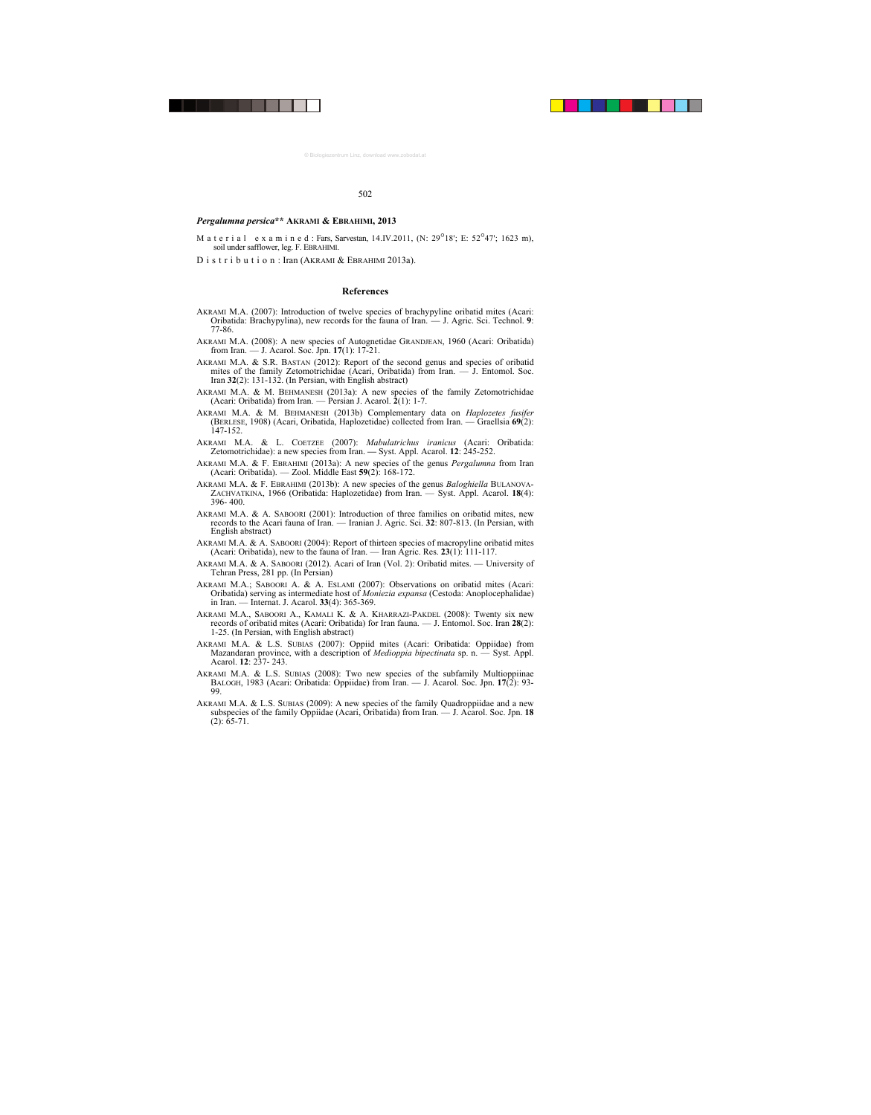## *Pergalumna persica***\*\* AKRAMI & EBRAHIMI, 2013**

- M a t e r i a l e x a m i n e d : Fars, Sarvestan,  $14$ .IV.2011, (N: 29<sup>°</sup>18'; E: 52<sup>°</sup>47'; 1623 m), soil under safflower, leg. F. EBRAHIMI.
- D i s t r i b u t i o n : Iran (AKRAMI & EBRAHIMI 2013a).

## **References**

- AKRAMI M.A. (2007): Introduction of twelve species of brachypyline oribatid mites (Acari: Oribatida: Brachypylina), new records for the fauna of Iran. — J. Agric. Sci. Technol. **9**: 77-86.
- AKRAMI M.A. (2008): A new species of Autognetidae GRANDJEAN, 1960 (Acari: Oribatida) from Iran. — J. Acarol. Soc. Jpn. **17**(1): 17-21.
- AKRAMI M.A. & S.R. BASTAN (2012): Report of the second genus and species of oribatid mites of the family Zetomotrichidae (Acari, Oribatida) from Iran.  $\overline{-1}$  J. Entomol. Soc. Iran **32**(2): 131-132. (In Persian, with English abstract)
- AKRAMI M.A. & M. BEHMANESH (2013a): A new species of the family Zetomotrichidae (Acari: Oribatida) from Iran. — Persian J. Acarol. **2**(1): 1-7.
- AKRAMI M.A. & M. BEHMANESH (2013b) Complementary data on *Haplozetes fusifer* (BERLESE, 1908) (Acari, Oribatida, Haplozetidae) collected from Iran. — Graellsia **69**(2): 147-152.
- AKRAMI M.A. & L. COETZEE (2007): *Mabulatrichus iranicus* (Acari: Oribatida: Zetomotrichidae): a new species from Iran. **—** Syst. Appl. Acarol. **12**: 245-252.
- AKRAMI M.A. & F. EBRAHIMI (2013a): A new species of the genus *Pergalumna* from Iran (Acari: Oribatida). — Zool. Middle East **59**(2): 168-172.
- AKRAMI M.A. & F. EBRAHIMI (2013b): A new species of the genus *Baloghiella* BULANOVA-ZACHVATKINA, 1966 (Oribatida: Haplozetidae) from Iran. — Syst. Appl. Acarol. **18**(4): 396- 400.
- AKRAMI M.A. & A. SABOORI (2001): Introduction of three families on oribatid mites, new records to the Acari fauna of Iran. — Iranian J. Agric. Sci. **32**: 807-813. (In Persian, with English abstract)
- AKRAMI M.A. & A. SABOORI (2004): Report of thirteen species of macropyline oribatid mites (Acari: Oribatida), new to the fauna of Iran. — Iran Agric. Res. **23**(1): 111-117.
- AKRAMI M.A. & A. SABOORI (2012). Acari of Iran (Vol. 2): Oribatid mites. University of Tehran Press, 281 pp. (In Persian)
- AKRAMI M.A.; SABOORI A. & A. ESLAMI (2007): Observations on oribatid mites (Acari: Oribatida) serving as intermediate host of *Moniezia expansa* (Cestoda: Anoplocephalidae) in Iran. — Internat. J. Acarol. **33**(4): 365-369.
- AKRAMI M.A., SABOORI A., KAMALI K. & A. KHARRAZI-PAKDEL (2008): Twenty six new records of oribatid mites (Acari: Oribatida) for Iran fauna. — J. Entomol. Soc. Iran **28**(2): 1-25. (In Persian, with English abstract)
- AKRAMI M.A. & L.S. SUBIAS (2007): Oppiid mites (Acari: Oribatida: Oppiidae) from Mazandaran province, with a description of *Medioppia bipectinata* sp. n. — Syst. Appl. Acarol. **12**: 237- 243.
- AKRAMI M.A. & L.S. SUBIAS (2008): Two new species of the subfamily Multioppiinae BALOGH, 1983 (Acari: Oribatida: Oppiidae) from Iran. — J. Acarol. Soc. Jpn. **17**(2): 93- 99.
- AKRAMI M.A. & L.S. SUBIAS (2009): A new species of the family Quadroppiidae and a new subspecies of the family Oppiidae (Acari, Oribatida) from Iran. — J. Acarol. Soc. Jpn. **18**   $(2): 65-71.$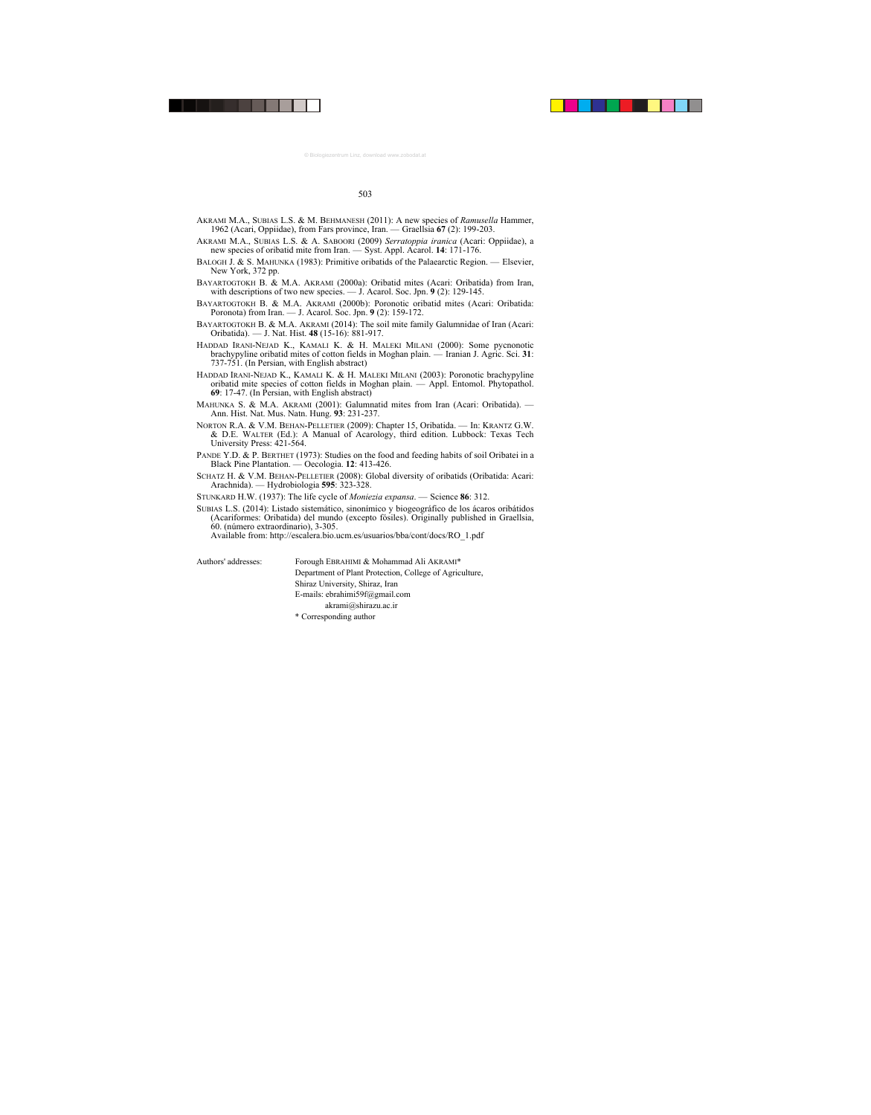- AKRAMI M.A., SUBIAS L.S. & M. BEHMANESH (2011): A new species of *Ramusella* Hammer, 1962 (Acari, Oppiidae), from Fars province, Iran. — Graellsia **67** (2): 199-203.
- AKRAMI M.A., SUBIAS L.S. & A. SABOORI (2009) *Serratoppia iranica* (Acari: Oppiidae), a new species of oribatid mite from Iran. — Syst. Appl. Acarol. **14**: 171-176.
- BALOGH J. & S. MAHUNKA (1983): Primitive oribatids of the Palaearctic Region. Elsevier, New York, 372 pp.
- BAYARTOGTOKH B. & M.A. AKRAMI (2000a): Oribatid mites (Acari: Oribatida) from Iran, with descriptions of two new species. —  $\vec{J}$ . Acarol. Soc. Jpn. **9** (2): 129-145.
- BAYARTOGTOKH B. & M.A. AKRAMI (2000b): Poronotic oribatid mites (Acari: Oribatida: Poronota) from Iran. — J. Acarol. Soc. Jpn. **9** (2): 159-172.
- BAYARTOGTOKH B. & M.A. AKRAMI (2014): The soil mite family Galumnidae of Iran (Acari: Oribatida). — J. Nat. Hist. **48** (15-16): 881-917.
- HADDAD IRANI-NEJAD K., KAMALI K. & H. MALEKI MILANI (2000): Some pycnonotic brachypyline oribatid mites of cotton fields in Moghan plain. — Iranian J. Agric. Sci. **31**: 737-751. (In Persian, with English abstract)
- HADDAD IRANI-NEJAD K., KAMALI K. & H. MALEKI MILANI (2003): Poronotic brachypyline oribatid mite species of cotton fields in Moghan plain. — Appl. Entomol. Phytopathol. **69**: 17-47. (In Persian, with English abstract)
- MAHUNKA S. & M.A. AKRAMI (2001): Galumnatid mites from Iran (Acari: Oribatida). Ann. Hist. Nat. Mus. Natn. Hung. **93**: 231-237.
- NORTON R.A. & V.M. BEHAN-PELLETIER (2009): Chapter 15, Oribatida. In: KRANTZ G.W. & D.E. WALTER (Ed.): A Manual of Acarology, third edition. Lubbock: Texas Tech University Press: 421-564.
- PANDE Y.D. & P. BERTHET (1973): Studies on the food and feeding habits of soil Oribatei in a Black Pine Plantation. — Oecologia. **12**: 413-426.
- SCHATZ H. & V.M. BEHAN-PELLETIER (2008): Global diversity of oribatids (Oribatida: Acari: Arachnida). — Hydrobiologia **595**: 323-328.
- STUNKARD H.W. (1937): The life cycle of *Moniezia expansa*. Science **86**: 312.
- SUBIAS L.S. (2014): Listado sistemático, sinonímico y biogeográfico de los ácaros oribátidos (Acariformes: Oribatida) del mundo (excepto fósiles). Originally published in Graellsia, 60. (número extraordinario), 3-305.

Available from: http://escalera.bio.ucm.es/usuarios/bba/cont/docs/RO\_1.pdf

Authors' addresses: Forough EBRAHIMI & Mohammad Ali AKRAMI\* Department of Plant Protection, College of Agriculture, Shiraz University, Shiraz, Iran E-mails: ebrahimi59f@gmail.com akrami@shirazu.ac.ir \* Corresponding author